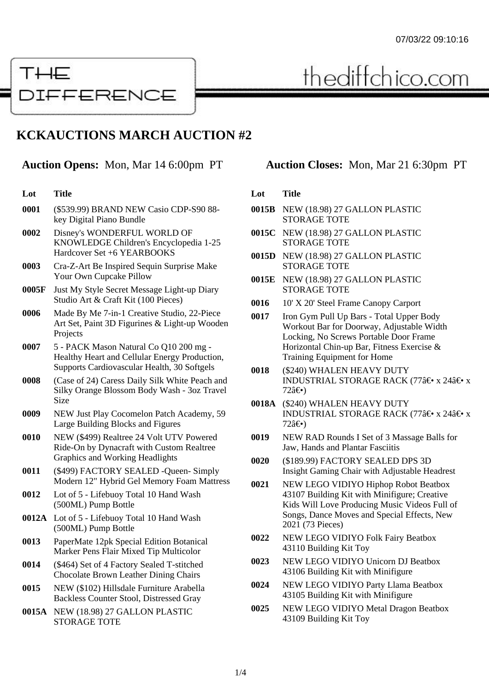

thediffchico.com

# **KCKAUCTIONS MARCH AUCTION #2**

| Lot | <b>Title</b> |
|-----|--------------|
|     |              |

- **0001** (\$539.99) BRAND NEW Casio CDP-S90 88 key Digital Piano Bundle
- **0002** Disney's WONDERFUL WORLD OF KNOWLEDGE Children's Encyclopedia 1-25 Hardcover Set +6 YEARBOOKS
- **0003** Cra-Z-Art Be Inspired Sequin Surprise Make Your Own Cupcake Pillow
- **0005F** Just My Style Secret Message Light-up Diary Studio Art & Craft Kit (100 Pieces)
- **0006** Made By Me 7-in-1 Creative Studio, 22-Piece Art Set, Paint 3D Figurines & Light-up Wooden Projects
- **0007** 5 PACK Mason Natural Co Q10 200 mg Healthy Heart and Cellular Energy Production, Supports Cardiovascular Health, 30 Softgels
- **0008** (Case of 24) Caress Daily Silk White Peach and Silky Orange Blossom Body Wash - 3oz Travel Size
- **0009** NEW Just Play Cocomelon Patch Academy, 59 Large Building Blocks and Figures
- **0010** NEW (\$499) Realtree 24 Volt UTV Powered Ride-On by Dynacraft with Custom Realtree Graphics and Working Headlights
- **0011** (\$499) FACTORY SEALED -Queen- Simply Modern 12" Hybrid Gel Memory Foam Mattress
- **0012** Lot of 5 Lifebuoy Total 10 Hand Wash (500ML) Pump Bottle
- **0012A** Lot of 5 Lifebuoy Total 10 Hand Wash (500ML) Pump Bottle
- **0013** PaperMate 12pk Special Edition Botanical Marker Pens Flair Mixed Tip Multicolor
- **0014** (\$464) Set of 4 Factory Sealed T-stitched Chocolate Brown Leather Dining Chairs
- **0015** NEW (\$102) Hillsdale Furniture Arabella Backless Counter Stool, Distressed Gray
- **0015A** NEW (18.98) 27 GALLON PLASTIC STORAGE TOTE

## **Auction Opens:** Mon, Mar 14 6:00pm PT **Auction Closes:** Mon, Mar 21 6:30pm PT

#### **Lot Title**

- **0015B** NEW (18.98) 27 GALLON PLASTIC STORAGE TOTE
- **0015C** NEW (18.98) 27 GALLON PLASTIC STORAGE TOTE
- **0015D** NEW (18.98) 27 GALLON PLASTIC STORAGE TOTE
- **0015E** NEW (18.98) 27 GALLON PLASTIC STORAGE TOTE
- **0016** 10' X 20' Steel Frame Canopy Carport
- **0017** Iron Gym Pull Up Bars Total Upper Body Workout Bar for Doorway, Adjustable Width Locking, No Screws Portable Door Frame Horizontal Chin-up Bar, Fitness Exercise & Training Equipment for Home
- **0018** (\$240) WHALEN HEAVY DUTY INDUSTRIAL STORAGE RACK (77 $\hat{a} \in \cdot x$  24 $\hat{a} \in \cdot x$  $72a \epsilon \bullet$
- **0018A** (\$240) WHALEN HEAVY DUTY INDUSTRIAL STORAGE RACK (77 $\hat{a} \in \infty$  x 24 $\hat{a} \in \infty$  x  $72a \epsilon \bullet$
- **0019** NEW RAD Rounds I Set of 3 Massage Balls for Jaw, Hands and Plantar Fasciitis
- **0020** (\$189.99) FACTORY SEALED DPS 3D Insight Gaming Chair with Adjustable Headrest
- **0021** NEW LEGO VIDIYO Hiphop Robot Beatbox 43107 Building Kit with Minifigure; Creative Kids Will Love Producing Music Videos Full of Songs, Dance Moves and Special Effects, New 2021 (73 Pieces)
- **0022** NEW LEGO VIDIYO Folk Fairy Beatbox 43110 Building Kit Toy
- **0023** NEW LEGO VIDIYO Unicorn DJ Beatbox 43106 Building Kit with Minifigure
- **0024** NEW LEGO VIDIYO Party Llama Beatbox 43105 Building Kit with Minifigure
- **0025** NEW LEGO VIDIYO Metal Dragon Beatbox 43109 Building Kit Toy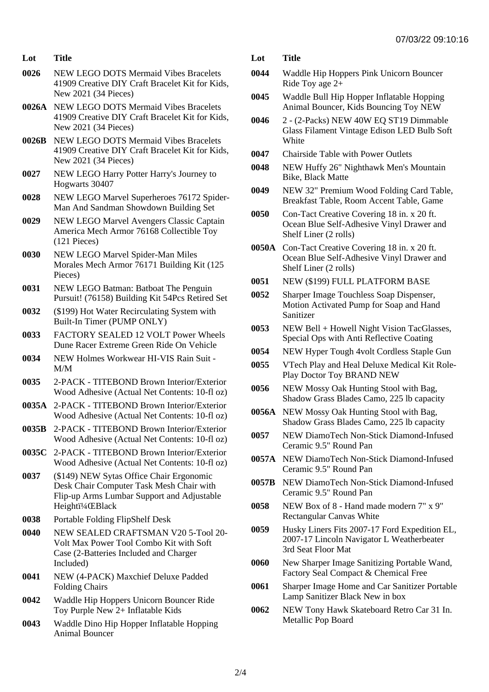### **Lot Title**

- **0026** NEW LEGO DOTS Mermaid Vibes Bracelets 41909 Creative DIY Craft Bracelet Kit for Kids, New 2021 (34 Pieces)
- **0026A** NEW LEGO DOTS Mermaid Vibes Bracelets 41909 Creative DIY Craft Bracelet Kit for Kids, New 2021 (34 Pieces)
- **0026B** NEW LEGO DOTS Mermaid Vibes Bracelets 41909 Creative DIY Craft Bracelet Kit for Kids, New 2021 (34 Pieces)
- **0027** NEW LEGO Harry Potter Harry's Journey to Hogwarts 30407
- **0028** NEW LEGO Marvel Superheroes 76172 Spider-Man And Sandman Showdown Building Set
- **0029** NEW LEGO Marvel Avengers Classic Captain America Mech Armor 76168 Collectible Toy (121 Pieces)
- **0030** NEW LEGO Marvel Spider-Man Miles Morales Mech Armor 76171 Building Kit (125 Pieces)
- **0031** NEW LEGO Batman: Batboat The Penguin Pursuit! (76158) Building Kit 54Pcs Retired Set
- **0032** (\$199) Hot Water Recirculating System with Built-In Timer (PUMP ONLY)
- **0033** FACTORY SEALED 12 VOLT Power Wheels Dune Racer Extreme Green Ride On Vehicle
- **0034** NEW Holmes Workwear HI-VIS Rain Suit M/M
- **0035** 2-PACK TITEBOND Brown Interior/Exterior Wood Adhesive (Actual Net Contents: 10-fl oz)
- **0035A** 2-PACK TITEBOND Brown Interior/Exterior Wood Adhesive (Actual Net Contents: 10-fl oz)
- **0035B** 2-PACK TITEBOND Brown Interior/Exterior Wood Adhesive (Actual Net Contents: 10-fl oz)
- **0035C** 2-PACK TITEBOND Brown Interior/Exterior Wood Adhesive (Actual Net Contents: 10-fl oz)
- **0037** (\$149) NEW Sytas Office Chair Ergonomic Desk Chair Computer Task Mesh Chair with Flip-up Arms Lumbar Support and Adjustable Heighti<sup>1</sup>/4 **EBlack**
- **0038** Portable Folding FlipShelf Desk
- **0040** NEW SEALED CRAFTSMAN V20 5-Tool 20- Volt Max Power Tool Combo Kit with Soft Case (2-Batteries Included and Charger Included)
- **0041** NEW (4-PACK) Maxchief Deluxe Padded Folding Chairs
- **0042** Waddle Hip Hoppers Unicorn Bouncer Ride Toy Purple New 2+ Inflatable Kids
- **0043** Waddle Dino Hip Hopper Inflatable Hopping Animal Bouncer
- **Lot Title**
- **0044** Waddle Hip Hoppers Pink Unicorn Bouncer Ride Toy age 2+
- **0045** Waddle Bull Hip Hopper Inflatable Hopping Animal Bouncer, Kids Bouncing Toy NEW
- **0046** 2 (2-Packs) NEW 40W EQ ST19 Dimmable Glass Filament Vintage Edison LED Bulb Soft **White**
- **0047** Chairside Table with Power Outlets
- **0048** NEW Huffy 26" Nighthawk Men's Mountain Bike, Black Matte
- **0049** NEW 32" Premium Wood Folding Card Table, Breakfast Table, Room Accent Table, Game
- **0050** Con-Tact Creative Covering 18 in. x 20 ft. Ocean Blue Self-Adhesive Vinyl Drawer and Shelf Liner (2 rolls)
- **0050A** Con-Tact Creative Covering 18 in. x 20 ft. Ocean Blue Self-Adhesive Vinyl Drawer and Shelf Liner (2 rolls)
- **0051** NEW (\$199) FULL PLATFORM BASE
- **0052** Sharper Image Touchless Soap Dispenser, Motion Activated Pump for Soap and Hand Sanitizer
- **0053** NEW Bell + Howell Night Vision TacGlasses, Special Ops with Anti Reflective Coating
- **0054** NEW Hyper Tough 4volt Cordless Staple Gun
- **0055** VTech Play and Heal Deluxe Medical Kit Role-Play Doctor Toy BRAND NEW
- **0056** NEW Mossy Oak Hunting Stool with Bag, Shadow Grass Blades Camo, 225 lb capacity
- **0056A** NEW Mossy Oak Hunting Stool with Bag, Shadow Grass Blades Camo, 225 lb capacity
- **0057** NEW DiamoTech Non-Stick Diamond-Infused Ceramic 9.5" Round Pan
- **0057A** NEW DiamoTech Non-Stick Diamond-Infused Ceramic 9.5" Round Pan
- **0057B** NEW DiamoTech Non-Stick Diamond-Infused Ceramic 9.5" Round Pan
- **0058** NEW Box of 8 Hand made modern 7" x 9" Rectangular Canvas White
- **0059** Husky Liners Fits 2007-17 Ford Expedition EL, 2007-17 Lincoln Navigator L Weatherbeater 3rd Seat Floor Mat
- **0060** New Sharper Image Sanitizing Portable Wand, Factory Seal Compact & Chemical Free
- **0061** Sharper Image Home and Car Sanitizer Portable Lamp Sanitizer Black New in box
- **0062** NEW Tony Hawk Skateboard Retro Car 31 In. Metallic Pop Board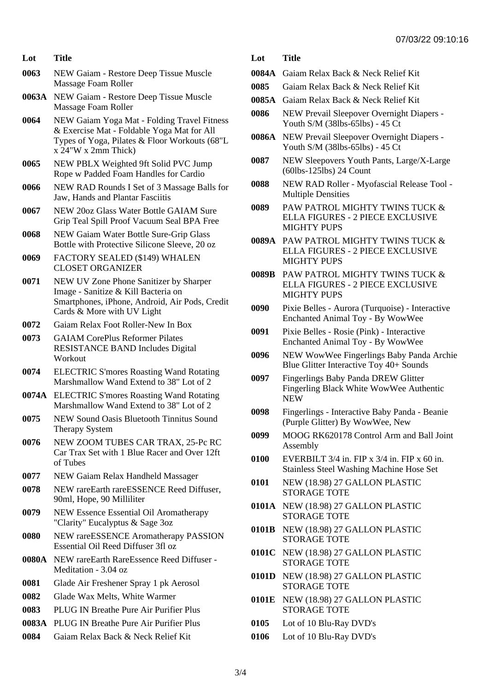| Lot          | <b>Title</b>                                                                                                                    | Lot   | <b>Title</b>                                                                                   |
|--------------|---------------------------------------------------------------------------------------------------------------------------------|-------|------------------------------------------------------------------------------------------------|
| 0063         | NEW Gaiam - Restore Deep Tissue Muscle                                                                                          | 0084A | Gaiam Relax Back & Neck Relief Kit                                                             |
|              | Massage Foam Roller                                                                                                             | 0085  | Gaiam Relax Back & Neck Relief Kit                                                             |
| 0063A        | NEW Gaiam - Restore Deep Tissue Muscle<br>Massage Foam Roller                                                                   | 0085A | Gaiam Relax Back & Neck Relief Kit                                                             |
| 0064         | NEW Gaiam Yoga Mat - Folding Travel Fitness<br>& Exercise Mat - Foldable Yoga Mat for All                                       | 0086  | NEW Prevail Sleepover Overnight Diapers -<br>Youth S/M (38lbs-65lbs) - 45 Ct                   |
|              | Types of Yoga, Pilates & Floor Workouts (68"L<br>$x 24$ "W $x 2mm$ Thick)                                                       | 0086A | NEW Prevail Sleepover Overnight Diapers -<br>Youth S/M (38lbs-65lbs) - 45 Ct                   |
| 0065         | NEW PBLX Weighted 9ft Solid PVC Jump<br>Rope w Padded Foam Handles for Cardio                                                   | 0087  | NEW Sleepovers Youth Pants, Large/X-Larg<br>$(60\text{lbs-125}lbs)$ 24 Count                   |
| 0066         | NEW RAD Rounds I Set of 3 Massage Balls for<br>Jaw, Hands and Plantar Fasciitis                                                 | 0088  | NEW RAD Roller - Myofascial Release Tool<br><b>Multiple Densities</b>                          |
| 0067         | NEW 200z Glass Water Bottle GAIAM Sure<br>Grip Teal Spill Proof Vacuum Seal BPA Free                                            | 0089  | PAW PATROL MIGHTY TWINS TUCK &<br>ELLA FIGURES - 2 PIECE EXCLUSIVE                             |
| 0068         | NEW Gaiam Water Bottle Sure-Grip Glass<br>Bottle with Protective Silicone Sleeve, 20 oz                                         |       | <b>MIGHTY PUPS</b><br>0089A PAW PATROL MIGHTY TWINS TUCK &<br>ELLA FIGURES - 2 PIECE EXCLUSIVE |
| 0069         | FACTORY SEALED (\$149) WHALEN<br><b>CLOSET ORGANIZER</b>                                                                        |       | <b>MIGHTY PUPS</b>                                                                             |
| 0071         | NEW UV Zone Phone Sanitizer by Sharper<br>Image - Sanitize & Kill Bacteria on<br>Smartphones, iPhone, Android, Air Pods, Credit | 0089B | PAW PATROL MIGHTY TWINS TUCK &<br>ELLA FIGURES - 2 PIECE EXCLUSIVE<br><b>MIGHTY PUPS</b>       |
| 0072         | Cards & More with UV Light<br>Gaiam Relax Foot Roller-New In Box                                                                | 0090  | Pixie Belles - Aurora (Turquoise) - Interactiv<br>Enchanted Animal Toy - By WowWee             |
| 0073         | <b>GAIAM CorePlus Reformer Pilates</b>                                                                                          | 0091  | Pixie Belles - Rosie (Pink) - Interactive<br>Enchanted Animal Toy - By WowWee                  |
|              | <b>RESISTANCE BAND Includes Digital</b><br>Workout                                                                              | 0096  | NEW WowWee Fingerlings Baby Panda Arc<br>Blue Glitter Interactive Toy 40+ Sounds               |
| 0074         | <b>ELECTRIC S'mores Roasting Wand Rotating</b><br>Marshmallow Wand Extend to 38" Lot of 2                                       | 0097  | Fingerlings Baby Panda DREW Glitter<br>Fingerling Black White WowWee Authentic                 |
|              | 0074A ELECTRIC S'mores Roasting Wand Rotating<br>Marshmallow Wand Extend to 38" Lot of 2                                        | 0098  | <b>NEW</b><br>Fingerlings - Interactive Baby Panda - Beanie                                    |
| 0075         | NEW Sound Oasis Bluetooth Tinnitus Sound<br>Therapy System                                                                      | 0099  | (Purple Glitter) By WowWee, New<br>MOOG RK620178 Control Arm and Ball Joi                      |
| 0076         | NEW ZOOM TUBES CAR TRAX, 25-Pc RC<br>Car Trax Set with 1 Blue Racer and Over 12ft                                               | 0100  | Assembly<br>EVERBILT $3/4$ in. FIP x $3/4$ in. FIP x 60 in.                                    |
| 0077         | of Tubes<br>NEW Gaiam Relax Handheld Massager                                                                                   |       | <b>Stainless Steel Washing Machine Hose Set</b>                                                |
| 0078         | NEW rareEarth rareESSENCE Reed Diffuser,<br>90ml, Hope, 90 Milliliter                                                           | 0101  | NEW (18.98) 27 GALLON PLASTIC<br><b>STORAGE TOTE</b>                                           |
| 0079         | NEW Essence Essential Oil Aromatherapy<br>"Clarity" Eucalyptus & Sage 3oz                                                       |       | 0101A NEW (18.98) 27 GALLON PLASTIC<br><b>STORAGE TOTE</b>                                     |
| 0080         | NEW rareESSENCE Aromatherapy PASSION<br>Essential Oil Reed Diffuser 3fl oz                                                      | 0101B | NEW (18.98) 27 GALLON PLASTIC<br><b>STORAGE TOTE</b>                                           |
|              | 0080A NEW rareEarth RareEssence Reed Diffuser -                                                                                 |       | 0101C NEW (18.98) 27 GALLON PLASTIC<br><b>STORAGE TOTE</b>                                     |
|              | Meditation - 3.04 oz                                                                                                            |       | 0101D NEW (18.98) 27 GALLON PLASTIC                                                            |
| 0081<br>0082 | Glade Air Freshener Spray 1 pk Aerosol<br>Glade Wax Melts, White Warmer                                                         |       | <b>STORAGE TOTE</b>                                                                            |
| 0083         | PLUG IN Breathe Pure Air Purifier Plus                                                                                          | 0101E | NEW (18.98) 27 GALLON PLASTIC<br><b>STORAGE TOTE</b>                                           |
| 0083A        | PLUG IN Breathe Pure Air Purifier Plus                                                                                          | 0105  | Lot of 10 Blu-Ray DVD's                                                                        |
| 0084         | Gaiam Relax Back & Neck Relief Kit                                                                                              | 0106  | Lot of 10 Blu-Ray DVD's                                                                        |
|              |                                                                                                                                 |       |                                                                                                |

# STORAGE TOTE **B** NEW (18.98) 27 GALLON PLASTIC STORAGE TOTE **0101C** NEW (18.98) 27 GALLON PLASTIC STORAGE TOTE **0101D** NEW (18.98) 27 GALLON PLASTIC STORAGE TOTE **0101E** NEW (18.98) 27 GALLON PLASTIC STORAGE TOTE Lot of 10 Blu-Ray DVD's Lot of 10 Blu-Ray DVD's

**Lot Title**

**0096** NEW WowWee Fingerlings Baby Panda Archie